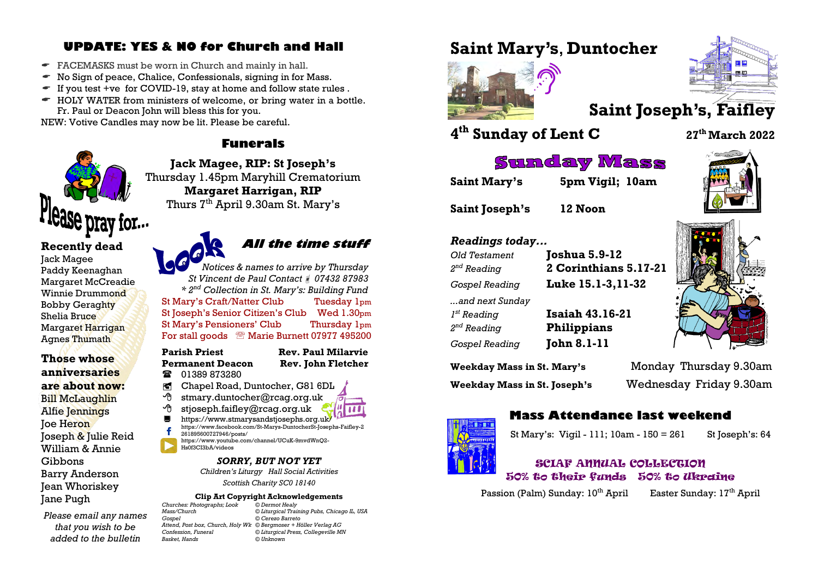## **UPDATE: YES & NO for Church and Hall**

- FACEMASKS must be worn in Church and mainly in hall.
- $\bullet$  No Sign of peace, Chalice, Confessionals, signing in for Mass.
- $\blacksquare$  If you test +ve for COVID-19, stay at home and follow state rules.
- $\blacktriangleright$  HOLY WATER from ministers of welcome, or bring water in a bottle. Fr. Paul or Deacon John will bless this for you.

NEW: Votive Candles may now be lit. Please be careful.

#### **Funerals**



**Recently dead** Jack Magee Paddy Keenaghan Margaret McCreadie Winnie Drummond Bobby Geraghty Shelia Bruce Margaret Harrigan Agnes Thumath

**Those whose anniversaries are about now:** Bill McLaughlin Alfie Jennings Joe Heron Joseph & Julie Reid William & Annie Gibbons Barry Anderson Jean Whoriskey Jane Pugh

*Please email any names that you wish to be added to the bulletin* 

**Jack Magee, RIP: St Joseph's** Thursday 1.45pm Maryhill Crematorium **Margaret Harrigan, RIP** Thurs  $7<sup>th</sup>$  April 9.30am St. Mary's

# **All the time stuff**

*Notices & names to arrive by Thursday St Vincent de Paul Contact 07432 87983 \* 2nd Collection in St. Mary's: Building Fund* St Mary's Craft/Natter Club Tuesday 1pm St Joseph's Senior Citizen's Club Wed 1.30pm St Mary's Pensioners' Club Thursday 1pm For stall goods <sup>®</sup> Marie Burnett 07977 495200

#### **Parish Priest Rev. Paul Milarvie Permanent Deacon Rev. John Fletcher**

- **12** 01389 873280
- Chapel Road, Duntocher, G81 6DL
- stmary.duntocher@rcag.org.uk
- $\partial$  stjoseph.faifley@rcag.org.uk
- <https://www.stmarysandstjosephs.org.uk/>
- [https://www.facebook.com/St-Marys-DuntocherSt-Josephs-Faifley-2](https://www.facebook.com/St-Marys-DuntocherSt-Josephs-Faifley-2261895600727946/posts/) [261895600727946/posts/](https://www.facebook.com/St-Marys-DuntocherSt-Josephs-Faifley-2261895600727946/posts/) [https://www.youtube.com/channel/UCuK-9mvdWnQ2-](https://www.youtube.com/channel/UCuK-9mvdWnQ2-Hs0f3CI3bA/videos)
- [Hs0f3CI3bA/videos](https://www.youtube.com/channel/UCuK-9mvdWnQ2-Hs0f3CI3bA/videos)

#### *SORRY, BUT NOT YET*

*Children's Liturgy Hall Social Activities Scottish Charity SC0 18140*

### **Clip Art Copyright Acknowledgements**<br>hotographs: Look © Dermot Healy

*Churches: Photographs; Look © Dermot Healy Basket, Hands © Unknown*

*Mass/Church © Liturgical Training Pubs, Chicago IL, USA Gospel © Cerezo Barreto Attend, Post box, Church, Holy Wk © Bergmoser + Höller Verlag AG Confession, Funeral © Liturgical Press, Collegeville MN*

# **Saint Mary's**, **Duntocher**





# **4 th Sunday of Lent C <sup>27</sup>th March 2022**

# **Sunday Mass**

**Saint Mary's 5pm Vigil; 10am**

**Saint Joseph's 12 Noon**

#### *Readings today...*

*Old Testament* **Joshua 5.9-12**  $2<sup>nd</sup>$  Reading *...and next Sunday*  $I^{st}$  Reading  $2<sup>nd</sup>$  Reading *Gospel Reading* **John 8.1-11**

*nd Reading* **2 Corinthians 5.17-21** *Gospel Reading* **Luke 15.1-3,11-32** *st Reading* **Isaiah 43.16-21** *nd Reading* **Philippians**

**Weekday Mass in St. Mary's** Monday Thursday 9.30am

**Weekday Mass in St. Joseph's** Wednesday Friday 9.30am



### **Mass Attendance last weekend**

St Mary's: Vigil - 111; 10am - 150 = 261 St Joseph's: 64

#### SCIAF ANNUAL COLLECTION 50% to their funds 50% to Ukraine

Passion (Palm) Sunday:  $10^{th}$  April Easter Sunday:  $17^{th}$  April